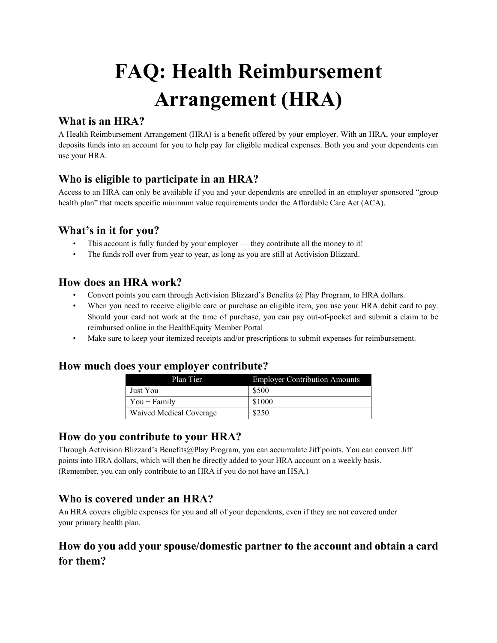# **FAQ: Health Reimbursement Arrangement (HRA)**

## **What is an HRA?**

A Health Reimbursement Arrangement (HRA) is a benefit offered by your employer. With an HRA, your employer deposits funds into an account for you to help pay for eligible medical expenses. Both you and your dependents can use your HRA.

## **Who is eligible to participate in an HRA?**

Access to an HRA can only be available if you and your dependents are enrolled in an employer sponsored "group health plan" that meets specific minimum value requirements under the Affordable Care Act (ACA).

### **What's in it for you?**

- This account is fully funded by your employer they contribute all the money to it!
- The funds roll over from year to year, as long as you are still at Activision Blizzard.

#### **How does an HRA work?**

- Convert points you earn through Activision Blizzard's Benefits @ Play Program, to HRA dollars.
- When you need to receive eligible care or purchase an eligible item, you use your HRA debit card to pay. Should your card not work at the time of purchase, you can pay out-of-pocket and submit a claim to be reimbursed online in the HealthEquity Member Portal
- Make sure to keep your itemized receipts and/or prescriptions to submit expenses for reimbursement.

#### **How much does your employer contribute?**

| Plan Tier               | <b>Employer Contribution Amounts</b> |
|-------------------------|--------------------------------------|
| Just You                | \$500                                |
| $You + Family$          | \$1000                               |
| Waived Medical Coverage | \$250                                |

## **How do you contribute to your HRA?**

Through Activision Blizzard's Benefits@Play Program, you can accumulate Jiff points. You can convert Jiff points into HRA dollars, which will then be directly added to your HRA account on a weekly basis. (Remember, you can only contribute to an HRA if you do not have an HSA.)

## **Who is covered under an HRA?**

An HRA covers eligible expenses for you and all of your dependents, even if they are not covered under your primary health plan.

# **How do you add your spouse/domestic partner to the account and obtain a card for them?**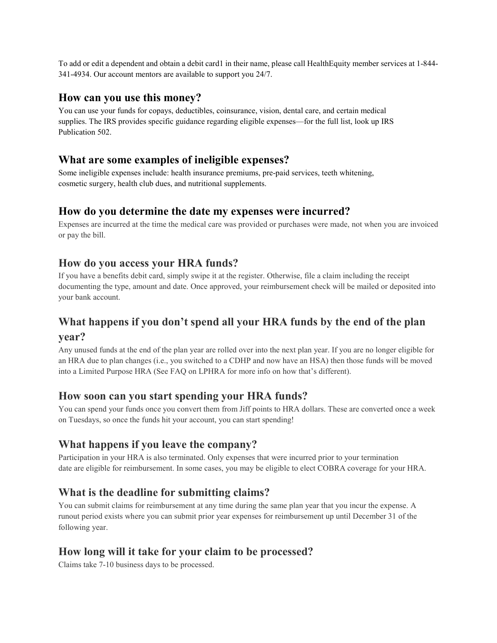To add or edit a dependent and obtain a debit card1 in their name, please call HealthEquity member services at 1-844- 341-4934. Our account mentors are available to support you 24/7.

#### **How can you use this money?**

You can use your funds for copays, deductibles, coinsurance, vision, dental care, and certain medical supplies. The IRS provides specific guidance regarding eligible expenses—for the full list, look up IRS Publication 502.

#### **What are some examples of ineligible expenses?**

Some ineligible expenses include: health insurance premiums, pre-paid services, teeth whitening, cosmetic surgery, health club dues, and nutritional supplements.

### **How do you determine the date my expenses were incurred?**

Expenses are incurred at the time the medical care was provided or purchases were made, not when you are invoiced or pay the bill.

### **How do you access your HRA funds?**

If you have a benefits debit card, simply swipe it at the register. Otherwise, file a claim including the receipt documenting the type, amount and date. Once approved, your reimbursement check will be mailed or deposited into your bank account.

# **What happens if you don't spend all your HRA funds by the end of the plan year?**

Any unused funds at the end of the plan year are rolled over into the next plan year. If you are no longer eligible for an HRA due to plan changes (i.e., you switched to a CDHP and now have an HSA) then those funds will be moved into a Limited Purpose HRA (See FAQ on LPHRA for more info on how that's different).

#### **How soon can you start spending your HRA funds?**

You can spend your funds once you convert them from Jiff points to HRA dollars. These are converted once a week on Tuesdays, so once the funds hit your account, you can start spending!

## **What happens if you leave the company?**

Participation in your HRA is also terminated. Only expenses that were incurred prior to your termination date are eligible for reimbursement. In some cases, you may be eligible to elect COBRA coverage for your HRA.

## **What is the deadline for submitting claims?**

You can submit claims for reimbursement at any time during the same plan year that you incur the expense. A runout period exists where you can submit prior year expenses for reimbursement up until December 31 of the following year.

#### **How long will it take for your claim to be processed?**

Claims take 7-10 business days to be processed.